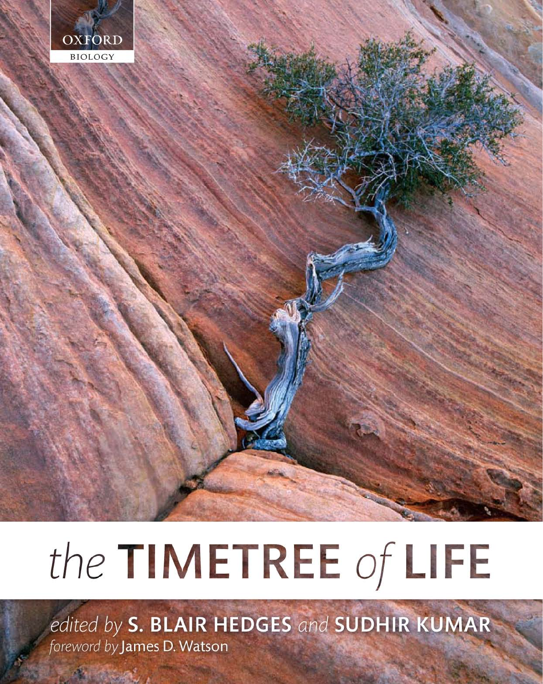

# the TIMETREE of LIFE

edited by S. BLAIR HEDGES and SUDHIR KUMAR foreword by James D. Watson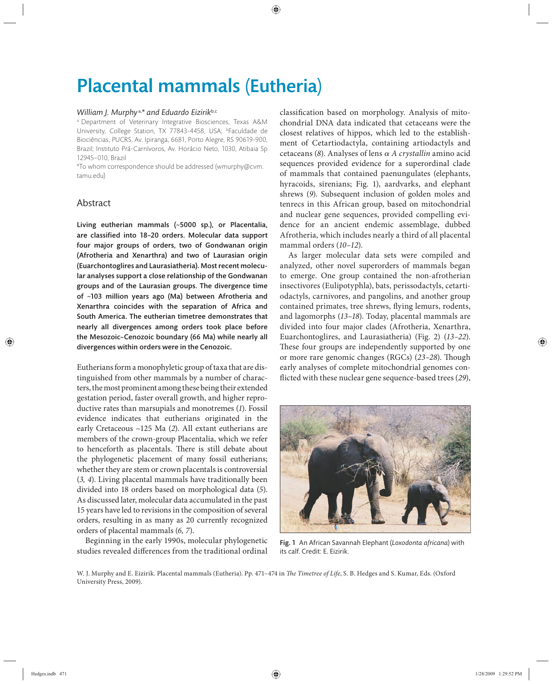## Placental mammals (Eutheria)

#### *William J. Murphy* a,*\* and Eduardo Eizirik*b,c

a Department of Veterinary Integrative Biosciences, Texas A&M University, College Station, TX 77843-4458, USA; bFaculdade de Biociências, PUCRS, Av. Ipiranga, 6681, Porto Alegre, RS 90619-900, Brazil; Instituto Prá-Carnívoros, Av. Horácio Neto, 1030, Atibaia Sp 12945–010, Brazil

\*To whom correspondence should be addressed (wmurphy@cvm. tamu.edu)

### Abstract

Living eutherian mammals (~5000 sp.), or Placentalia, are classified into 18-20 orders. Molecular data support four major groups of orders, two of Gondwanan origin (Afrotheria and Xenarthra) and two of Laurasian origin (Euarchontoglires and Laurasiatheria). Most recent molecular analyses support a close relationship of the Gondwanan groups and of the Laurasian groups. The divergence time of ~103 million years ago (Ma) between Afrotheria and Xenarthra coincides with the separation of Africa and South America. The eutherian timetree demonstrates that nearly all divergences among orders took place before the Mesozoic–Cenozoic boundary (66 Ma) while nearly all divergences within orders were in the Cenozoic.

Eutherians form a monophyletic group of taxa that are distinguished from other mammals by a number of characters, the most prominent among these being their extended gestation period, faster overall growth, and higher reproductive rates than marsupials and monotremes (*1*). Fossil evidence indicates that eutherians originated in the early Cretaceous ~125 Ma (*2*). All extant eutherians are members of the crown-group Placentalia, which we refer to henceforth as placentals. There is still debate about the phylogenetic placement of many fossil eutherians; whether they are stem or crown placentals is controversial (*3, 4*). Living placental mammals have traditionally been divided into 18 orders based on morphological data (*5*). As discussed later, molecular data accumulated in the past 15 years have led to revisions in the composition of several orders, resulting in as many as 20 currently recognized orders of placental mammals (*6, 7*).

Beginning in the early 1990s, molecular phylogenetic studies revealed differences from the traditional ordinal classification based on morphology. Analysis of mitochondrial DNA data indicated that cetaceans were the closest relatives of hippos, which led to the establishment of Cetartiodactyla, containing artiodactyls and cetaceans (*8*). Analyses of lens α *A crystallin* amino acid sequences provided evidence for a superordinal clade of mammals that contained paenungulates (elephants, hyracoids, sirenians; Fig. 1), aardvarks, and elephant shrews (9). Subsequent inclusion of golden moles and tenrecs in this African group, based on mitochondrial and nuclear gene sequences, provided compelling evidence for an ancient endemic assemblage, dubbed Afrotheria, which includes nearly a third of all placental mammal orders (*10–12*).

As larger molecular data sets were compiled and analyzed, other novel superorders of mammals began to emerge. One group contained the non-afrotherian insectivores (Eulipotyphla), bats, perissodactyls, cetartiodactyls, carnivores, and pangolins, and another group contained primates, tree shrews, flying lemurs, rodents, and lagomorphs (*13–18*). Today, placental mammals are divided into four major clades (Afrotheria, Xenarthra, Euarchontoglires, and Laurasiatheria) (Fig. 2) (*13–22*). These four groups are independently supported by one or more rare genomic changes (RGCs) (23-28). Though early analyses of complete mitochondrial genomes conflicted with these nuclear gene sequence-based trees (29),



Fig. 1 An African Savannah Elephant (*Loxodonta africana*) with its calf. Credit: E. Eizirik.

W. J. Murphy and E. Eizirik. Placental mammals (Eutheria). Pp. 471-474 in *The Timetree of Life*, S. B. Hedges and S. Kumar, Eds. (Oxford University Press, 2009).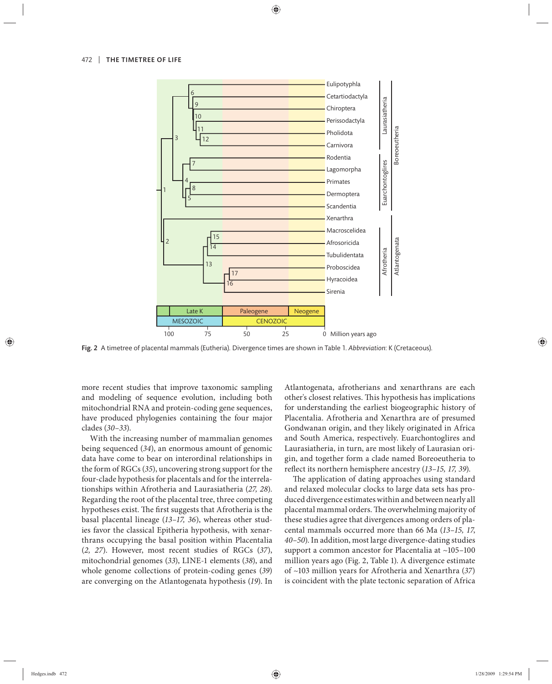

Fig. 2 A timetree of placental mammals (Eutheria). Divergence times are shown in Table 1. *Abbreviation*: K (Cretaceous).

more recent studies that improve taxonomic sampling and modeling of sequence evolution, including both mitochondrial RNA and protein-coding gene sequences, have produced phylogenies containing the four major clades (*30–33*).

With the increasing number of mammalian genomes being sequenced (*34*), an enormous amount of genomic data have come to bear on interordinal relationships in the form of RGCs (*35*), uncovering strong support for the four-clade hypothesis for placentals and for the interrelationships within Afrotheria and Laurasiatheria (*27, 28*). Regarding the root of the placental tree, three competing hypotheses exist. The first suggests that Afrotheria is the basal placental lineage (*13–17, 36*), whereas other studies favor the classical Epitheria hypothesis, with xenarthrans occupying the basal position within Placentalia (*2, 27*). However, most recent stu dies of RGCs (*37*), mitochondrial genomes (*33*), LINE-1 elements (*38*), and whole genome collections of protein-coding genes (*39*) are converging on the Atlantogenata hypothesis (*19*). In Atlantogenata, afrotherians and xenarthrans are each other's closest relatives. This hypothesis has implications for understanding the earliest biogeographic history of Placentalia. Afrotheria and Xenarthra are of presumed Gondwanan origin, and they likely originated in Africa and South America, respectively. Euarchontoglires and Laurasiatheria, in turn, are most likely of Laurasian origin, and together form a clade named Boreoeutheria to reflect its northern hemisphere ancestry (13-15, 17, 39).

The application of dating approaches using standard and relaxed molecular clocks to large data sets has produced divergence estimates within and between nearly all placental mammal orders. The overwhelming majority of these studies agree that divergences among orders of placental mammals occurred more than 66 Ma (*13–15, 17*, *40–50*). In addition, most large divergence-dating studies support a common ancestor for Placentalia at ~105–100 million years ago (Fig. 2, Table 1). A divergence estimate of ~103 million years for Afrotheria and Xenarthra (*37*) is coincident with the plate tectonic separation of Africa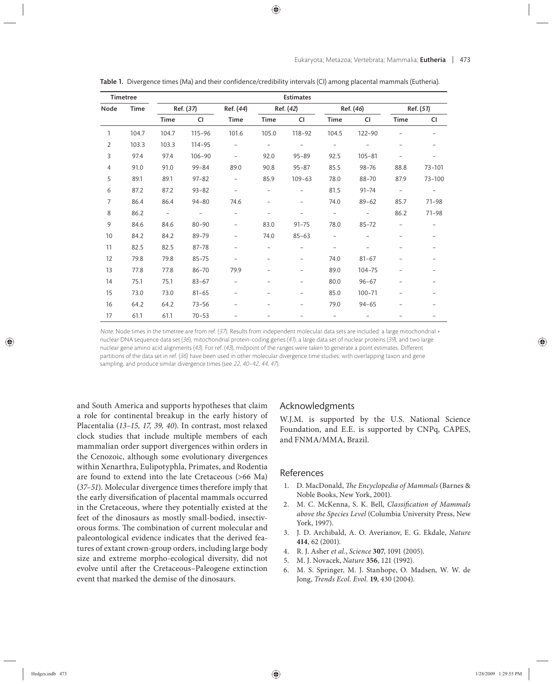| <b>Timetree</b> |       | <b>Estimates</b> |                          |                          |                          |                          |                          |                          |                          |           |
|-----------------|-------|------------------|--------------------------|--------------------------|--------------------------|--------------------------|--------------------------|--------------------------|--------------------------|-----------|
| Node            | Time  | Ref. (37)        |                          | Ref. (44)                | Ref. (42)                |                          | Ref. (46)                |                          | Ref. (51)                |           |
|                 |       | Time             | <b>CI</b>                | <b>Time</b>              | Time                     | <b>CI</b>                | Time                     | CI                       | Time                     | <b>CI</b> |
| $\mathbf{1}$    | 104.7 | 104.7            | $115 - 96$               | 101.6                    | 105.0                    | 118-92                   | 104.5                    | 122-90                   |                          |           |
| $\overline{2}$  | 103.3 | 103.3            | 114-95                   | $\overline{a}$           | $\overline{\phantom{a}}$ | $\overline{\phantom{0}}$ | $\overline{\phantom{0}}$ |                          |                          |           |
| 3               | 97.4  | 97.4             | $106 - 90$               | $\overline{\phantom{a}}$ | 92.0                     | $95 - 89$                | 92.5                     | $105 - 81$               |                          |           |
| 4               | 91.0  | 91.0             | $99 - 84$                | 89.0                     | 90.8                     | $95 - 87$                | 85.5                     | $98 - 76$                | 88.8                     | 73-101    |
| 5               | 89.1  | 89.1             | $97 - 82$                | $\qquad \qquad -$        | 85.9                     | $109 - 63$               | 78.0                     | 88-70                    | 87.9                     | 73-100    |
| 6               | 87.2  | 87.2             | $93 - 82$                | $\overline{\phantom{0}}$ | $\overline{a}$           | $\overline{a}$           | 81.5                     | $91 - 74$                | $\overline{\phantom{a}}$ |           |
| $\overline{7}$  | 86.4  | 86.4             | $94 - 80$                | 74.6                     | $\qquad \qquad -$        | $\overline{a}$           | 74.0                     | $89 - 62$                | 85.7                     | $71 - 98$ |
| 8               | 86.2  | $\sim$           | $\overline{\phantom{a}}$ | $\overline{\phantom{0}}$ | $\overline{a}$           | $\overline{a}$           | $\overline{\phantom{a}}$ | $\overline{\phantom{0}}$ | 86.2                     | $71 - 98$ |
| 9               | 84.6  | 84.6             | $80 - 90$                | $\overline{\phantom{0}}$ | 83.0                     | $91 - 75$                | 78.0                     | $85 - 72$                |                          |           |
| 10              | 84.2  | 84.2             | 89-79                    | $\overline{\phantom{0}}$ | 74.0                     | $85 - 63$                | $\qquad \qquad -$        |                          |                          |           |
| 11              | 82.5  | 82.5             | 87-78                    | $\overline{\phantom{0}}$ |                          | $\overline{a}$           | $\overline{a}$           |                          |                          |           |
| 12              | 79.8  | 79.8             | $85 - 75$                | $\overline{\phantom{0}}$ | $\overline{a}$           | $\overline{a}$           | 74.0                     | $81 - 67$                |                          |           |
| 13              | 77.8  | 77.8             | 86-70                    | 79.9                     |                          | $\overline{a}$           | 89.0                     | $104 - 75$               |                          |           |
| 14              | 75.1  | 75.1             | $83 - 67$                | $\overline{\phantom{0}}$ | $\overline{\phantom{0}}$ | $\overline{a}$           | 80.0                     | $96 - 67$                |                          |           |
| 15              | 73.0  | 73.0             | $81 - 65$                | $\overline{\phantom{0}}$ |                          | $\overline{a}$           | 85.0                     | $100 - 71$               |                          |           |
| 16              | 64.2  | 64.2             | $73 - 56$                |                          |                          | $\overline{a}$           | 79.0                     | $94 - 65$                |                          |           |
| 17              | 61.1  | 61.1             | $70 - 53$                |                          |                          |                          |                          |                          |                          |           |

Table 1. Divergence times (Ma) and their confidence/credibility intervals (CI) among placental mammals (Eutheria).

Note: Node times in the timetree are from ref. (37). Results from independent molecular data sets are included: a large mitochondrial + nuclear DNA sequence data set (36), mitochondrial protein-coding genes (41), a large data set of nuclear proteins (39), and two large nuclear gene amino acid alignments (43). For ref. (43), midpoint of the ranges were taken to generate a point estimates. Different partitions of the data set in ref. (36) have been used in other molecular divergence time studies, with overlapping taxon and gene sampling, and produce similar divergence times (see 22, 40–42, 44, 47).

and South America and supports hypotheses that claim a role for continental breakup in the early history of Placentalia (*13–15, 17, 39, 40*). In contrast, most relaxed clock studies that include multiple members of each mammalian order support divergences within orders in the Cenozoic, although some evolutionary divergences within Xenarthra, Eulipotyphla, Primates, and Rodentia are found to extend into the late Cretaceous (>66 Ma) (*37–51*). Molecular divergence times therefore imply that the early diversification of placental mammals occurred in the Cretaceous, where they potentially existed at the feet of the dinosaurs as mostly small-bodied, insectivorous forms. The combination of current molecular and paleontological evidence indicates that the derived features of extant crown-group orders, including large body size and extreme morpho-ecological diversity, did not evolve until after the Cretaceous–Paleogene extinction event that marked the demise of the dinosaurs.

### Acknowledgments

W.J.M. is supported by the U.S. National Science Foundation, and E.E. is supported by CNPq, CAPES, and FNMA/MMA, Brazil.

#### References

- 1. D. MacDonald, *The Encyclopedia of Mammals* (Barnes & Noble Books, New York, 2001).
- 2. M. C. McKenna, S. K. Bell, *Classification of Mammals above the Species Level* (Columbia University Press, New York, 1997).
- 3. J. D. Archibald, A. O. Averianov, E. G. Ekdale, *Nature* **414**, 62 (2001).
- 4. R. J. Asher *et al.*, *Science* **307**, 1091 (2005).
- 5. M. J. Novacek, *Nature* **356**, 121 (1992).
- 6. M. S. Springer, M. J. Stanhope, O. Madsen, W. W. de Jong, *Trends Ecol. Evol.* **19**, 430 (2004).